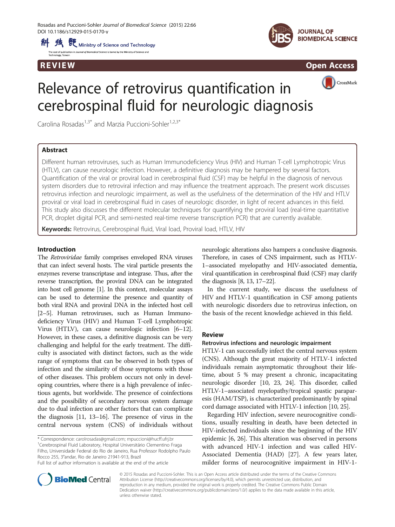科 线 <sup>骰</sup> Ministry of Science and Technology al of Biomedical Science is borne by the Ministry of Science and





CrossMark

# Relevance of retrovirus quantification in cerebrospinal fluid for neurologic diagnosis

Carolina Rosadas<sup>1,3\*</sup> and Marzia Puccioni-Sohler<sup>1,2,3\*</sup>

# Abstract

Different human retroviruses, such as Human Immunodeficiency Virus (HIV) and Human T-cell Lymphotropic Virus (HTLV), can cause neurologic infection. However, a definitive diagnosis may be hampered by several factors. Quantification of the viral or proviral load in cerebrospinal fluid (CSF) may be helpful in the diagnosis of nervous system disorders due to retroviral infection and may influence the treatment approach. The present work discusses retrovirus infection and neurologic impairment, as well as the usefulness of the determination of the HIV and HTLV proviral or viral load in cerebrospinal fluid in cases of neurologic disorder, in light of recent advances in this field. This study also discusses the different molecular techniques for quantifying the proviral load (real-time quantitative PCR, droplet digital PCR, and semi-nested real-time reverse transcription PCR) that are currently available.

Keywords: Retrovirus, Cerebrospinal fluid, Viral load, Proviral load, HTLV, HIV

# Introduction

The Retroviridae family comprises enveloped RNA viruses that can infect several hosts. The viral particle presents the enzymes reverse transcriptase and integrase. Thus, after the reverse transcription, the proviral DNA can be integrated into host cell genome [\[1\]](#page-3-0). In this context, molecular assays can be used to determine the presence and quantity of both viral RNA and proviral DNA in the infected host cell [[2](#page-3-0)–[5\]](#page-4-0). Human retroviruses, such as Human Immunodeficiency Virus (HIV) and Human T-cell Lymphotropic Virus (HTLV), can cause neurologic infection [\[6](#page-4-0)–[12](#page-4-0)]. However, in these cases, a definitive diagnosis can be very challenging and helpful for the early treatment. The difficulty is associated with distinct factors, such as the wide range of symptoms that can be observed in both types of infection and the similarity of those symptoms with those of other diseases. This problem occurs not only in developing countries, where there is a high prevalence of infectious agents, but worldwide. The presence of coinfections and the possibility of secondary nervous system damage due to dual infection are other factors that can complicate the diagnosis [\[11, 13](#page-4-0)–[16](#page-4-0)]. The presence of virus in the central nervous system (CNS) of individuals without

\* Correspondence: [carolrosadas@gmail.com;](mailto:carolrosadas@gmail.com) [mpuccioni@hucff.ufrj.br](mailto:mpuccioni@hucff.ufrj.br) <sup>1</sup> Cerebrospinal Fluid Laboratory, Hospital Universitário Clementino Fraga Filho, Universidade Federal do Rio de Janeiro, Rua Professor Rodolpho Paulo Rocco 255, 3°andar, Rio de Janeiro 21941-913, Brazil Full list of author information is available at the end of the article

neurologic alterations also hampers a conclusive diagnosis. Therefore, in cases of CNS impairment, such as HTLV-1–associated myelopathy and HIV-associated dementia, viral quantification in cerebrospinal fluid (CSF) may clarify the diagnosis [\[8, 13](#page-4-0), [17](#page-4-0)–[22\]](#page-4-0).

In the current study, we discuss the usefulness of HIV and HTLV-1 quantification in CSF among patients with neurologic disorders due to retrovirus infection, on the basis of the recent knowledge achieved in this field.

# Review

# Retrovirus infections and neurologic impairment

HTLV-1 can successfully infect the central nervous system (CNS). Although the great majority of HTLV-1 infected individuals remain asymptomatic throughout their lifetime, about 5 % may present a chronic, incapacitating neurologic disorder [\[10, 23, 24](#page-4-0)]. This disorder, called HTLV-1–associated myelopathy/tropical spastic paraparesis (HAM/TSP), is characterized predominantly by spinal cord damage associated with HTLV-1 infection [[10, 25\]](#page-4-0).

Regarding HIV infection, severe neurocognitive conditions, usually resulting in death, have been detected in HIV-infected individuals since the beginning of the HIV epidemic [[6, 26\]](#page-4-0). This alteration was observed in persons with advanced HIV-1 infection and was called HIV-Associated Dementia (HAD) [[27\]](#page-4-0). A few years later, milder forms of neurocognitive impairment in HIV-1-



© 2015 Rosadas and Puccioni-Sohler. This is an Open Access article distributed under the terms of the Creative Commons Attribution License (<http://creativecommons.org/licenses/by/4.0>), which permits unrestricted use, distribution, and reproduction in any medium, provided the original work is properly credited. The Creative Commons Public Domain Dedication waiver [\(http://creativecommons.org/publicdomain/zero/1.0/](http://creativecommons.org/publicdomain/zero/1.0/)) applies to the data made available in this article, unless otherwise stated.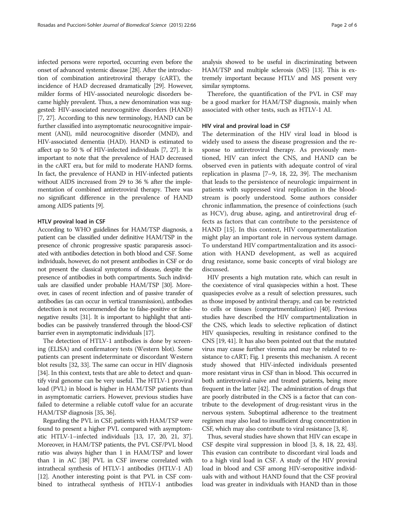infected persons were reported, occurring even before the onset of advanced systemic disease [\[28\]](#page-4-0). After the introduction of combination antiretroviral therapy (cART), the incidence of HAD decreased dramatically [[29](#page-4-0)]. However, milder forms of HIV-associated neurologic disorders became highly prevalent. Thus, a new denomination was suggested: HIV-associated neurocognitive disorders (HAND) [[7](#page-4-0), [27](#page-4-0)]. According to this new terminology, HAND can be further classified into asymptomatic neurocognitive impairment (ANI), mild neurocognitive disorder (MND), and HIV-associated dementia (HAD). HAND is estimated to affect up to 50 % of HIV-infected individuals [\[7, 27\]](#page-4-0). It is important to note that the prevalence of HAD decreased in the cART era, but for mild to moderate HAND forms. In fact, the prevalence of HAND in HIV-infected patients without AIDS increased from 29 to 36 % after the implementation of combined antiretroviral therapy. There was no significant difference in the prevalence of HAND among AIDS patients [[9](#page-4-0)].

### HTLV proviral load in CSF

According to WHO guidelines for HAM/TSP diagnosis, a patient can be classified under definitive HAM/TSP in the presence of chronic progressive spastic paraparesis associated with antibodies detection in both blood and CSF. Some individuals, however, do not present antibodies in CSF or do not present the classical symptoms of disease, despite the presence of antibodies in both compartments. Such individuals are classified under probable HAM/TSP [\[30](#page-4-0)]. Moreover, in cases of recent infection and of passive transfer of antibodies (as can occur in vertical transmission), antibodies detection is not recommended due to false-positive or falsenegative results [\[31](#page-4-0)]. It is important to highlight that antibodies can be passively transferred through the blood-CSF barrier even in asymptomatic individuals [\[17\]](#page-4-0).

The detection of HTLV-1 antibodies is done by screening (ELISA) and confirmatory tests (Western blot). Some patients can present indeterminate or discordant Western blot results [\[32, 33](#page-4-0)]. The same can occur in HIV diagnosis [[34](#page-4-0)]. In this context, tests that are able to detect and quantify viral genome can be very useful. The HTLV-1 proviral load (PVL) in blood is higher in HAM/TSP patients than in asymptomatic carriers. However, previous studies have failed to determine a reliable cutoff value for an accurate HAM/TSP diagnosis [[35](#page-4-0), [36\]](#page-4-0).

Regarding the PVL in CSF, patients with HAM/TSP were found to present a higher PVL compared with asymptomatic HTLV-1–infected individuals [[13](#page-4-0), [17](#page-4-0), [20, 21, 37](#page-4-0)]. Moreover, in HAM/TSP patients, the PVL CSF/PVL blood ratio was always higher than 1 in HAM/TSP and lower than 1 in AC [[38](#page-4-0)] PVL in CSF inverse correlated with intrathecal synthesis of HTLV-1 antibodies (HTLV-1 AI) [[12](#page-4-0)]. Another interesting point is that PVL in CSF combined to intrathecal synthesis of HTLV-1 antibodies analysis showed to be useful in discriminating between HAM/TSP and multiple sclerosis (MS) [\[13\]](#page-4-0). This is extremely important because HTLV and MS present very similar symptoms.

Therefore, the quantification of the PVL in CSF may be a good marker for HAM/TSP diagnosis, mainly when associated with other tests, such as HTLV-1 AI.

## HIV viral and proviral load in CSF

The determination of the HIV viral load in blood is widely used to assess the disease progression and the response to antiretroviral therapy. As previously mentioned, HIV can infect the CNS, and HAND can be observed even in patients with adequate control of viral replication in plasma [[7](#page-4-0)–[9](#page-4-0), [18](#page-4-0), [22, 39\]](#page-4-0). The mechanism that leads to the persistence of neurologic impairment in patients with suppressed viral replication in the bloodstream is poorly understood. Some authors consider chronic inflammation, the presence of coinfections (such as HCV), drug abuse, aging, and antiretroviral drug effects as factors that can contribute to the persistence of HAND [\[15\]](#page-4-0). In this context, HIV compartmentalization might play an important role in nervous system damage. To understand HIV compartmentalization and its association with HAND development, as well as acquired drug resistance, some basic concepts of viral biology are discussed.

HIV presents a high mutation rate, which can result in the coexistence of viral quasispecies within a host. These quasispecies evolve as a result of selection pressures, such as those imposed by antiviral therapy, and can be restricted to cells or tissues (compartmentalization) [\[40\]](#page-4-0). Previous studies have described the HIV compartmentalization in the CNS, which leads to selective replication of distinct HIV quasispecies, resulting in resistance confined to the CNS [\[19, 41\]](#page-4-0). It has also been pointed out that the mutated virus may cause further viremia and may be related to resistance to cART; Fig. [1](#page-2-0) presents this mechanism. A recent study showed that HIV-infected individuals presented more resistant virus in CSF than in blood. This occurred in both antiretroviral-naïve and treated patients, being more frequent in the latter [\[42\]](#page-4-0). The administration of drugs that are poorly distributed in the CNS is a factor that can contribute to the development of drug-resistant virus in the nervous system. Suboptimal adherence to the treatment regimen may also lead to insufficient drug concentration in CSF, which may also contribute to viral resistance [\[3, 8](#page-4-0)].

Thus, several studies have shown that HIV can escape in CSF despite viral suppression in blood [\[3, 8, 18](#page-4-0), [22, 43](#page-4-0)]. This evasion can contribute to discordant viral loads and to a high viral load in CSF. A study of the HIV proviral load in blood and CSF among HIV-seropositive individuals with and without HAND found that the CSF proviral load was greater in individuals with HAND than in those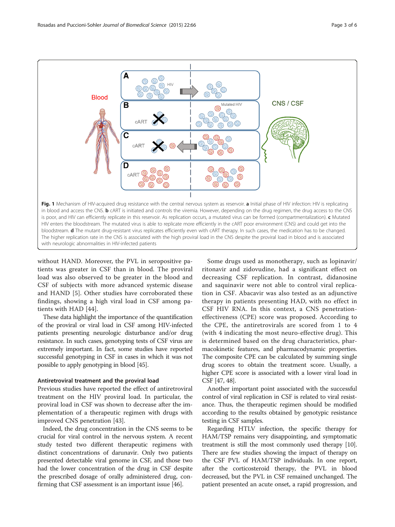<span id="page-2-0"></span>

without HAND. Moreover, the PVL in seropositive patients was greater in CSF than in blood. The proviral load was also observed to be greater in the blood and CSF of subjects with more advanced systemic disease and HAND [[5\]](#page-4-0). Other studies have corroborated these findings, showing a high viral load in CSF among patients with HAD [\[44](#page-4-0)].

These data highlight the importance of the quantification of the proviral or viral load in CSF among HIV-infected patients presenting neurologic disturbance and/or drug resistance. In such cases, genotyping tests of CSF virus are extremely important. In fact, some studies have reported successful genotyping in CSF in cases in which it was not possible to apply genotyping in blood [[45](#page-5-0)].

## Antiretroviral treatment and the proviral load

Previous studies have reported the effect of antiretroviral treatment on the HIV proviral load. In particular, the proviral load in CSF was shown to decrease after the implementation of a therapeutic regimen with drugs with improved CNS penetration [[43\]](#page-4-0).

Indeed, the drug concentration in the CNS seems to be crucial for viral control in the nervous system. A recent study tested two different therapeutic regimens with distinct concentrations of darunavir. Only two patients presented detectable viral genome in CSF, and those two had the lower concentration of the drug in CSF despite the prescribed dosage of orally administered drug, confirming that CSF assessment is an important issue [[46](#page-5-0)].

Some drugs used as monotherapy, such as lopinavir/ ritonavir and zidovudine, had a significant effect on decreasing CSF replication. In contrast, didanosine and saquinavir were not able to control viral replication in CSF. Abacavir was also tested as an adjunctive therapy in patients presenting HAD, with no effect in CSF HIV RNA. In this context, a CNS penetrationeffectiveness (CPE) score was proposed. According to the CPE, the antiretrovirals are scored from 1 to 4 (with 4 indicating the most neuro-effective drug). This is determined based on the drug characteristics, pharmacokinetic features, and pharmacodynamic properties. The composite CPE can be calculated by summing single drug scores to obtain the treatment score. Usually, a higher CPE score is associated with a lower viral load in CSF [\[47, 48\]](#page-5-0).

Another important point associated with the successful control of viral replication in CSF is related to viral resistance. Thus, the therapeutic regimen should be modified according to the results obtained by genotypic resistance testing in CSF samples.

Regarding HTLV infection, the specific therapy for HAM/TSP remains very disappointing, and symptomatic treatment is still the most commonly used therapy [[10](#page-4-0)]. There are few studies showing the impact of therapy on the CSF PVL of HAM/TSP individuals. In one report, after the corticosteroid therapy, the PVL in blood decreased, but the PVL in CSF remained unchanged. The patient presented an acute onset, a rapid progression, and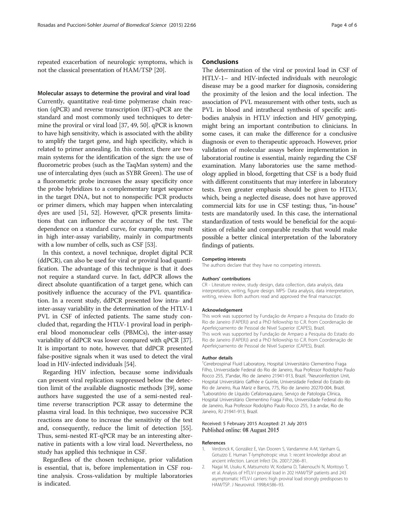<span id="page-3-0"></span>repeated exacerbation of neurologic symptoms, which is not the classical presentation of HAM/TSP [\[20](#page-4-0)].

## Molecular assays to determine the proviral and viral load

Currently, quantitative real-time polymerase chain reaction (qPCR) and reverse transcription (RT)-qPCR are the standard and most commonly used techniques to determine the proviral or viral load [\[37](#page-4-0), [49](#page-5-0), [50\]](#page-5-0). qPCR is known to have high sensitivity, which is associated with the ability to amplify the target gene, and high specificity, which is related to primer annealing. In this context, there are two main systems for the identification of the sign: the use of fluorometric probes (such as the TaqMan system) and the use of intercalating dyes (such as SYBR Green). The use of a fluorometric probe increases the assay specificity once the probe hybridizes to a complementary target sequence in the target DNA, but not to nonspecific PCR products or primer dimers, which may happen when intercalating dyes are used [\[51, 52](#page-5-0)]. However, qPCR presents limitations that can influence the accuracy of the test. The dependence on a standard curve, for example, may result in high inter-assay variability, mainly in compartments with a low number of cells, such as CSF [[53](#page-5-0)].

In this context, a novel technique, droplet digital PCR (ddPCR), can also be used for viral or proviral load quantification. The advantage of this technique is that it does not require a standard curve. In fact, ddPCR allows the direct absolute quantification of a target gene, which can positively influence the accuracy of the PVL quantification. In a recent study, ddPCR presented low intra- and inter-assay variability in the determination of the HTLV-1 PVL in CSF of infected patients. The same study concluded that, regarding the HTLV-1 proviral load in peripheral blood mononuclear cells (PBMCs), the inter-assay variability of ddPCR was lower compared with qPCR [[37](#page-4-0)]. It is important to note, however, that ddPCR presented false-positive signals when it was used to detect the viral load in HIV-infected individuals [\[54](#page-5-0)].

Regarding HIV infection, because some individuals can present viral replication suppressed below the detection limit of the available diagnostic methods [[39](#page-4-0)], some authors have suggested the use of a semi-nested realtime reverse transcription PCR assay to determine the plasma viral load. In this technique, two successive PCR reactions are done to increase the sensitivity of the test and, consequently, reduce the limit of detection [\[55](#page-5-0)]. Thus, semi-nested RT-qPCR may be an interesting alternative in patients with a low viral load. Nevertheless, no study has applied this technique in CSF.

Regardless of the chosen technique, prior validation is essential, that is, before implementation in CSF routine analysis. Cross-validation by multiple laboratories is indicated.

## Conclusions

The determination of the viral or proviral load in CSF of HTLV-1– and HIV-infected individuals with neurologic disease may be a good marker for diagnosis, considering the proximity of the lesion and the local infection. The association of PVL measurement with other tests, such as PVL in blood and intrathecal synthesis of specific antibodies analysis in HTLV infection and HIV genotyping, might bring an important contribution to clinicians. In some cases, it can make the difference for a conclusive diagnosis or even to therapeutic approach. However, prior validation of molecular assays before implementation in laboratorial routine is essential, mainly regarding the CSF examination. Many laboratories use the same methodology applied in blood, forgetting that CSF is a body fluid with different constituents that may interfere in laboratory tests. Even greater emphasis should be given to HTLV, which, being a neglected disease, does not have approved commercial kits for use in CSF testing; thus, "in-house" tests are mandatorily used. In this case, the international standardization of tests would be beneficial for the acquisition of reliable and comparable results that would make possible a better clinical interpretation of the laboratory findings of patients.

#### Competing interests

The authors declare that they have no competing interests.

#### Authors' contributions

CR - Literature review, study design, data collection, data analysis, data interpretation, writing, figure design. MPS- Data analysis, data interpretation, writing, review. Both authors read and approved the final manuscript.

#### Acknowledgement

This work was supported by Fundação de Amparo a Pesquisa do Estado do Rio de Janeiro (FAPERJ) and a PhD fellowship to C.R. from Coordenação de Aperfeiçoamento de Pessoal de Nível Superior (CAPES), Brazil. This work was supported by Fundação de Amparo a Pesquisa do Estado do Rio de Janeiro (FAPERJ) and a PhD fellowship to C.R. from Coordenação de Aperfeiçoamento de Pessoal de Nível Superior (CAPES), Brazil.

#### Author details

<sup>1</sup> Cerebrospinal Fluid Laboratory, Hospital Universitário Clementino Fraga Filho, Universidade Federal do Rio de Janeiro, Rua Professor Rodolpho Paulo Rocco 255, 3°andar, Rio de Janeiro 21941-913, Brazil. <sup>2</sup>Neuroinfection Unit, Hospital Universitário Gaffrée e Guinle, Universidade Federal do Estado do Rio de Janeiro, Rua Mariz e Barros, 775, Rio de Janeiro 20270-004, Brazil. <sup>3</sup> Laboratório de Líquido Cefalorraquiano, Serviço de Patologia Clínica, Hospital Universitário Clementino Fraga Filho, Universidade Federal do Rio de Janeiro, Rua Professor Rodolpho Paulo Rocco 255, 3 ± andar, Rio de Janeiro, RJ 21941-913, Brazil.

#### Received: 5 February 2015 Accepted: 21 July 2015 Published online: 08 August 2015

#### References

- 1. Verdonck K, González E, Van Dooren S, Vandamme A-M, Vanham G, Gotuzzo E. Human T-lymphotropic virus 1: recent knowledge about an ancient infection. Lancet Infect Dis. 2007;7:266–81.
- 2. Nagai M, Usuku K, Matsumoto W, Kodama D, Takenouchi N, Moritoyo T, et al. Analysis of HTLV-I proviral load in 202 HAM/TSP patients and 243 asymptomatic HTLV-I carriers: high proviral load strongly predisposes to HAM/TSP. J Neurovirol. 1998;4:586–93.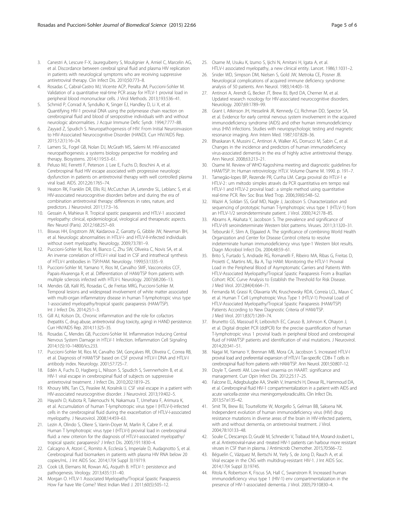- <span id="page-4-0"></span>3. Canestri A, Lescure F-X, Jaureguiberry S, Moulignier A, Amiel C, Marcelin AG, et al. Discordance between cerebral spinal fluid and plasma HIV replication in patients with neurological symptoms who are receiving suppressive antiretroviral therapy. Clin Infect Dis. 2010;50:773–8.
- 4. Rosadas C, Cabral-Castro MJ, Vicente ACP, Peralta JM, Puccioni-Sohler M. Validation of a quantitative real-time PCR assay for HTLV-1 proviral load in peripheral blood mononuclear cells. J Virol Methods. 2013;193:536–41.
- Schmid P, Conrad A, Syndulko K, Singer EJ, Handley D, Li X, et al. Quantifying HIV-1 proviral DNA using the polymerase chain reaction on cerebrospinal fluid and blood of seropositive individuals with and without neurologic abnormalities. J Acquir Immune Defic Syndr. 1994;7:777–88.
- 6. Zayyad Z, Spudich S. Neuropathogenesis of HIV: From Initial Neuroinvasion to HIV-Associated Neurocognitive Disorder (HAND). Curr HIV/AIDS Rep. 2015;12(1):16–24.
- 7. Lamers SL, Fogel GB, Nolan DJ, McGrath MS, Salemi M. HIV-associated neuropathogenesis: a systems biology perspective for modeling and therapy. Biosystems. 2014;119:53–61.
- Peluso MJ, Ferretti F, Peterson J, Lee E, Fuchs D, Boschini A, et al. Cerebrospinal fluid HIV escape associated with progressive neurologic dysfunction in patients on antiretroviral therapy with well controlled plasma viral load. AIDS. 2012;26:1765–74.
- Heaton RK, Franklin DR, Ellis RJ, McCutchan JA, Letendre SL, Leblanc S, et al. HIV-associated neurocognitive disorders before and during the era of combination antiretroviral therapy: differences in rates, nature, and predictors. J Neurovirol. 2011;17:3–16.
- 10. Gessain A, Mahieux R. Tropical spastic paraparesis and HTLV-1 associated myelopathy: clinical, epidemiological, virological and therapeutic aspects. Rev Neurol (Paris). 2012;168:257–69.
- 11. Biswas HH, Engstrom JW, Kaidarova Z, Garratty G, Gibble JW, Newman BH, et al. Neurologic abnormalities in HTLV-I- and HTLV-II-infected individuals without overt myelopathy. Neurology. 2009;73:781–9.
- 12. Puccioni-Sohler M, Rios M, Bianco C, Zhu SW, Oliveira C, Novis SA, et al. An inverse correlation of HTLV-I viral load in CSF and intrathecal synthesis of HTLV-I antibodies in TSP/HAM. Neurology. 1999;53:1335–9.
- 13. Puccioni-Sohler M, Yamano Y, Rios M, Carvalho SMF, Vasconcelos CCF, Papais-Alvarenga R, et al. Differentiation of HAM/TSP from patients with multiple sclerosis infected with HTLV-I. Neurology. 2007;68:206–13.
- 14. Mendes GB, Kalil RS, Rosadas C, de Freitas MRG, Puccioni-Sohler M. Temporal lesions and widespread involvement of white matter associated with multi-organ inflammatory disease in human T-lymphotropic virus type 1-associated myelopathy/tropical spastic paraparesis (HAM/TSP). Int J Infect Dis. 2014;25:1–3.
- 15. Gill AJ, Kolson DL. Chronic inflammation and the role for cofactors (hepatitis C, drug abuse, antiretroviral drug toxicity, aging) in HAND persistence. Curr HIV/AIDS Rep. 2014;11:325–35.
- 16. Rosadas C, Mendes GB, Puccioni-Sohler M. Inflammation Inducing Central Nervous System Damage in HTLV-1 Infection. Inflammation Cell Signaling 2014;1(5):10–14800/ics.233.
- 17. Puccioni-Sohler M, Rios M, Carvalho SM, Gonçalves RR, Oliveira C, Correa RB, et al. Diagnosis of HAM/TSP based on CSF proviral HTLV-I DNA and HTLV-I antibody index. Neurology. 2001;57:725–7.
- 18. Edén A, Fuchs D, Hagberg L, Nilsson S, Spudich S, Svennerholm B, et al. HIV-1 viral escape in cerebrospinal fluid of subjects on suppressive antiretroviral treatment. J Infect Dis. 2010;202:1819–25.
- 19. Khoury MN, Tan CS, Peaslee M, Koralnik IJ. CSF viral escape in a patient with HIV-associated neurocognitive disorder. J Neurovirol. 2013;19:402–5.
- 20. Hayashi D, Kubota R, Takenouchi N, Nakamura T, Umehara F, Arimura K, et al. Accumulation of human T-lymphotropic virus type I (HTLV-I)-infected cells in the cerebrospinal fluid during the exacerbation of HTLV-I-associated myelopathy. J Neurovirol. 2008;14:459–63.
- 21. Lezin A, Olindo S, Oliere S, Varrin-Doyer M, Marlin R, Cabre P, et al. Human T lymphotropic virus type I (HTLV-I) proviral load in cerebrospinal fluid: a new criterion for the diagnosis of HTLV-I-associated myelopathy/ tropical spastic paraparesis? J Infect Dis. 2005;191:1830–4.
- 22. Calcagno A, Atzori C, Romito A, Ecclesia S, Imperiale D, Audagnotto S, et al. Cerebrospinal fluid biomarkers in patients with plasma HIV RNA below 20 copies/mL. J Int AIDS Soc. 2014;17(4 Suppl 3):19719.
- 23. Cook LB, Elemans M, Rowan AG, Asquith B. HTLV-1: persistence and pathogenesis. Virology. 2013;435:131–40.
- 24. Morgan O. HTLV-1 Associated Myelopathy/Tropical Spastic Paraparesis How Far have We Come? West Indian Med J. 2011;60(5):505–12.
- 25. Osame M, Usuku K, Izumo S, Ijichi N, Amitani H, Igata A, et al. HTLV-I associated myelopathy, a new clinical entity. Lancet. 1986;1:1031–2.
- 26. Snider WD, Simpson DM, Nielsen S, Gold JW, Metroka CE, Posner JB. Neurological complications of acquired immune deficiency syndrome: analysis of 50 patients. Ann Neurol. 1983;14:403–18.
- 27. Antinori A, Arendt G, Becker JT, Brew BJ, Byrd DA, Cherner M, et al. Updated research nosology for HIV-associated neurocognitive disorders. Neurology. 2007;69:1789–99.
- 28. Grant I, Atkinson JH, Hesselink JR, Kennedy CJ, Richman DD, Spector SA, et al. Evidence for early central nervous system involvement in the acquired immunodeficiency syndrome (AIDS) and other human immunodeficiency virus (HIV) infections. Studies with neuropsychologic testing and magnetic resonance imaging. Ann Intern Med. 1987;107:828–36.
- 29. Bhaskaran K, Mussini C, Antinori A, Walker AS, Dorrucci M, Sabin C, et al. Changes in the incidence and predictors of human immunodeficiency virus-associated dementia in the era of highly active antiretroviral therapy. Ann Neurol. 2008;63:213–21.
- 30. Osame M. Review of WHO Kagoshima meeting and diagnostic guidelines for HAM/TSP. In: Human retrovirology: HTLV. Volume Osame M. 1990. p. 191–7.
- 31. Tamegão-lopes BP, Rezende PR, Cunha LM. Carga proviral do HTLV-1 e HTLV-2 : um método simples através da PCR quantitativa em tempo real HTLV-1 and HTLV-2 proviral load : a simple method using quantitative real-time PCR. Rev Soc Bras Med Trop. 2006;39(6):548–52.
- 32. Waziri A, Soldan SS, Graf MD, Nagle J, Jacobson S. Characterization and sequencing of prototypic human T-lymphotropic virus type 1 (HTLV-1) from an HTLV-1/2 seroindeterminate patient. J Virol. 2000;74:2178–85.
- 33. Abrams A, Akahata Y, Jacobson S. The prevalence and significance of HTLV-I/II seroindeterminate Western blot patterns. Viruses. 2011;3:1320–31.
- 34. Tebourski F, Slim A, Elgaaied A. The significance of combining World Health Organization and Center for Disease Control criteria to resolve indeterminate human immunodeficiency virus type-1 Western blot results. Diagn Microbiol Infect Dis. 2004;48:59–61.
- 35. Brito S, Furtado S, Andrade RG, Romanelli F, Ribeiro MA, Ribas G, Freitas D, Proietti C, Martins ML, Ba A, Tsp HAM: Monitoring the HTLV-1 Proviral Load in the Peripheral Blood of Asymptomatic Carriers and Patients With HTLV-Associated Myelopathy/Tropical Spastic Paraparesis From a Brazilian Cohort: ROC Curve Analysis to Establish the Threshold for Risk Disease. J Med Virol. 2012;84(4):664–71.
- 36. Fernanda M, Grassi R, Olavarria VN, Kruschewsky RDA, Correia LCL, Maurı C et al. Human T Cell Lymphotropic Virus Type 1 (HTLV-1) Proviral Load of HTLV-Associated Myelopathy/Tropical Spastic Paraparesis (HAM/TSP) Patients According to New Diagnostic Criteria of HAM/TSP. J Med Virol. 2011;83(7):1269–74.
- 37. Brunetto GS, Massoud R, Leibovitch EC, Caruso B, Johnson K, Ohayon J, et al. Digital droplet PCR (ddPCR) for the precise quantification of human T-lymphotropic virus 1 proviral loads in peripheral blood and cerebrospinal fluid of HAM/TSP patients and identification of viral mutations. J Neurovirol. 2014;20:341–51.
- 38. Nagai M, Yamano Y, Brennan MB, Mora CA, Jacobson S. Increased HTLV-I proviral load and preferential expansion of HTLV-I Tax-specific CD8+ T cells in cerebrospinal fluid from patients with HAM/TSP. Ann Neurol. 2001;50:807–12.
- 39. Doyle T, Geretti AM. Low-level viraemia on HAART: significance and management. Curr Opin Infect Dis. 2012;25:17–25.
- 40. Falcone EL, Adegbulugbe AA, Sheikh V, Imamichi H, Dewar RL, Hammoud DA, et al. Cerebrospinal fluid HIV-1 compartmentalization in a patient with AIDS and acute varicella-zoster virus meningomyeloradiculitis. Clin Infect Dis. 2013;57:e135–42.
- 41. Smit TK, Brew BJ, Tourtellotte W, Morgello S, Gelman BB, Saksena NK. Independent evolution of human immunodeficiency virus (HIV) drug resistance mutations in diverse areas of the brain in HIV-infected patients, with and without dementia, on antiretroviral treatment. J Virol. 2004;78:10133–48.
- 42. Soulie C, Descamps D, Grudé M, Schneider V, Trabaud M-A, Morand-Joubert L, et al. Antiretroviral-naive and -treated HIV-1 patients can harbour more resistant viruses in CSF than in plasma. J Antimicrob Chemother. 2015;70:566–72.
- 43. Béguelin C, Vázquez M, Bertschi M, Yerly S, de Jong D, Rauch A, et al. Viral escape in the CNS with multidrug-resistant HIV-1. J Int AIDS Soc. 2014;17(4 Suppl 3):19745.
- 44. Ritola K, Robertson K, Fiscus SA, Hall C, Swanstrom R. Increased human immunodeficiency virus type 1 (HIV-1) env compartmentalization in the presence of HIV-1-associated dementia. J Virol. 2005;79:10830–4.